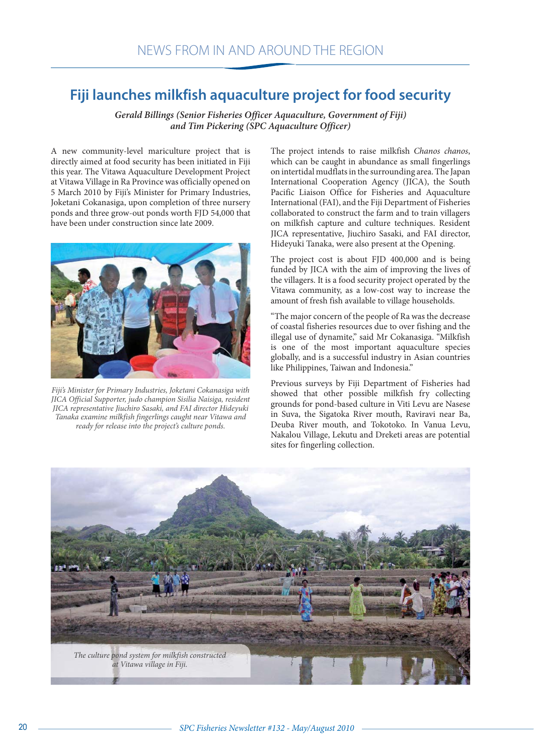## **Fiji launches milkfish aquaculture project for food security**

*Gerald Billings (Senior Fisheries Officer Aquaculture, Government of Fiji) and Tim Pickering (SPC Aquaculture Officer)*

A new community-level mariculture project that is directly aimed at food security has been initiated in Fiji this year. The Vitawa Aquaculture Development Project at Vitawa Village in Ra Province was officially opened on 5 March 2010 by Fiji's Minister for Primary Industries, Joketani Cokanasiga, upon completion of three nursery ponds and three grow-out ponds worth FJD 54,000 that have been under construction since late 2009.



*Fiji's Minister for Primary Industries, Joketani Cokanasiga with JICA Official Supporter, judo champion Sisilia Naisiga, resident JICA representative Jiuchiro Sasaki, and FAI director Hideyuki Tanaka examine milkfish fingerlings caught near Vitawa and ready for release into the project's culture ponds.*

The project intends to raise milkfish *Chanos chanos*, which can be caught in abundance as small fingerlings on intertidal mudflats in the surrounding area. The Japan International Cooperation Agency (JICA), the South Pacific Liaison Office for Fisheries and Aquaculture International (FAI), and the Fiji Department of Fisheries collaborated to construct the farm and to train villagers on milkfish capture and culture techniques. Resident JICA representative, Jiuchiro Sasaki, and FAI director, Hideyuki Tanaka, were also present at the Opening.

The project cost is about FJD 400,000 and is being funded by JICA with the aim of improving the lives of the villagers. It is a food security project operated by the Vitawa community, as a low-cost way to increase the amount of fresh fish available to village households.

"The major concern of the people of Ra was the decrease of coastal fisheries resources due to over fishing and the illegal use of dynamite," said Mr Cokanasiga. "Milkfish is one of the most important aquaculture species globally, and is a successful industry in Asian countries like Philippines, Taiwan and Indonesia."

Previous surveys by Fiji Department of Fisheries had showed that other possible milkfish fry collecting grounds for pond-based culture in Viti Levu are Nasese in Suva, the Sigatoka River mouth, Raviravi near Ba, Deuba River mouth, and Tokotoko. In Vanua Levu, Nakalou Village, Lekutu and Dreketi areas are potential sites for fingerling collection.